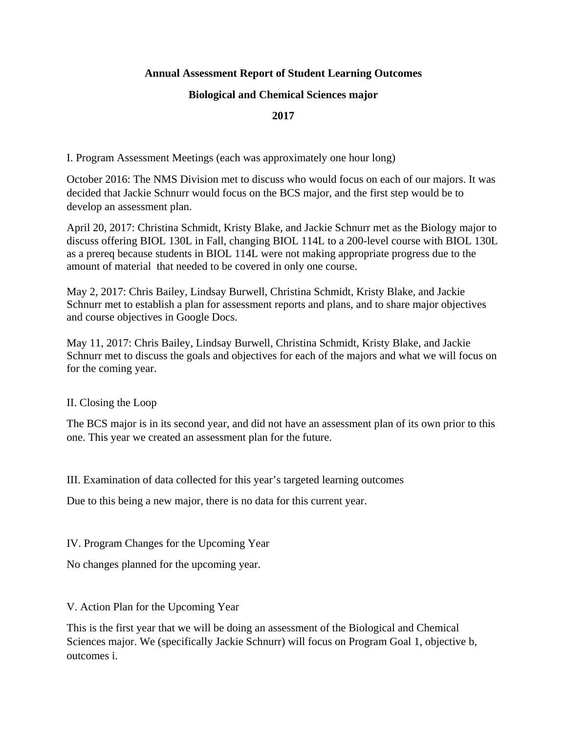# **Annual Assessment Report of Student Learning Outcomes**

### **Biological and Chemical Sciences major**

## **2017**

I. Program Assessment Meetings (each was approximately one hour long)

October 2016: The NMS Division met to discuss who would focus on each of our majors. It was decided that Jackie Schnurr would focus on the BCS major, and the first step would be to develop an assessment plan.

April 20, 2017: Christina Schmidt, Kristy Blake, and Jackie Schnurr met as the Biology major to discuss offering BIOL 130L in Fall, changing BIOL 114L to a 200-level course with BIOL 130L as a prereq because students in BIOL 114L were not making appropriate progress due to the amount of material that needed to be covered in only one course.

May 2, 2017: Chris Bailey, Lindsay Burwell, Christina Schmidt, Kristy Blake, and Jackie Schnurr met to establish a plan for assessment reports and plans, and to share major objectives and course objectives in Google Docs.

May 11, 2017: Chris Bailey, Lindsay Burwell, Christina Schmidt, Kristy Blake, and Jackie Schnurr met to discuss the goals and objectives for each of the majors and what we will focus on for the coming year.

II. Closing the Loop

The BCS major is in its second year, and did not have an assessment plan of its own prior to this one. This year we created an assessment plan for the future.

III. Examination of data collected for this year's targeted learning outcomes

Due to this being a new major, there is no data for this current year.

IV. Program Changes for the Upcoming Year

No changes planned for the upcoming year.

V. Action Plan for the Upcoming Year

This is the first year that we will be doing an assessment of the Biological and Chemical Sciences major. We (specifically Jackie Schnurr) will focus on Program Goal 1, objective b, outcomes i.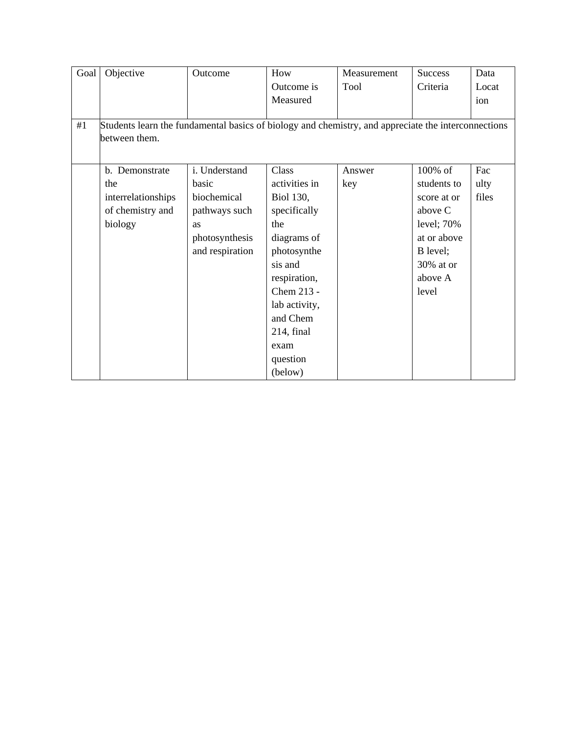| Goal | Objective                                                                                           | Outcome         | How           | Measurement | <b>Success</b> | Data  |
|------|-----------------------------------------------------------------------------------------------------|-----------------|---------------|-------------|----------------|-------|
|      |                                                                                                     |                 | Outcome is    | Tool        | Criteria       | Locat |
|      |                                                                                                     |                 | Measured      |             |                | ion   |
|      |                                                                                                     |                 |               |             |                |       |
| #1   | Students learn the fundamental basics of biology and chemistry, and appreciate the interconnections |                 |               |             |                |       |
|      | between them.                                                                                       |                 |               |             |                |       |
|      |                                                                                                     |                 |               |             |                |       |
|      | b. Demonstrate                                                                                      | i. Understand   | Class         | Answer      | $100\%$ of     | Fac   |
|      | the                                                                                                 | basic           | activities in | key         | students to    | ulty  |
|      | interrelationships                                                                                  | biochemical     | Biol 130,     |             | score at or    | files |
|      | of chemistry and                                                                                    | pathways such   | specifically  |             | above C        |       |
|      | biology                                                                                             | as              | the           |             | level; $70%$   |       |
|      |                                                                                                     | photosynthesis  | diagrams of   |             | at or above    |       |
|      |                                                                                                     | and respiration | photosynthe   |             | B level;       |       |
|      |                                                                                                     |                 | sis and       |             | 30% at or      |       |
|      |                                                                                                     |                 | respiration,  |             | above A        |       |
|      |                                                                                                     |                 | Chem 213 -    |             | level          |       |
|      |                                                                                                     |                 | lab activity, |             |                |       |
|      |                                                                                                     |                 | and Chem      |             |                |       |
|      |                                                                                                     |                 | 214, final    |             |                |       |
|      |                                                                                                     |                 | exam          |             |                |       |
|      |                                                                                                     |                 | question      |             |                |       |
|      |                                                                                                     |                 | (below)       |             |                |       |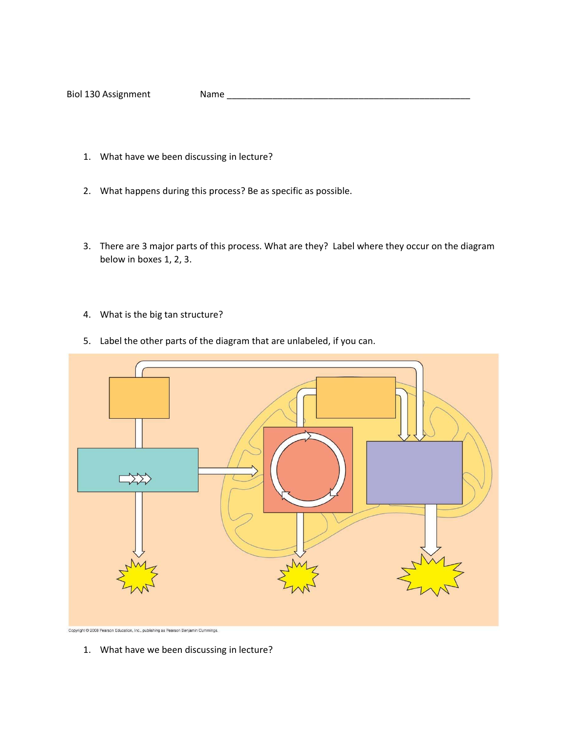Biol 130 Assignment Name \_\_\_\_\_\_\_\_\_\_\_\_\_\_\_\_\_\_\_\_\_\_\_\_\_\_\_\_\_\_\_\_\_\_\_\_\_\_\_\_\_\_\_\_\_\_\_\_

- 1. What have we been discussing in lecture?
- 2. What happens during this process? Be as specific as possible.
- 3. There are 3 major parts of this process. What are they? Label where they occur on the diagram below in boxes 1, 2, 3.
- 4. What is the big tan structure?
- 5. Label the other parts of the diagram that are unlabeled, if you can.



Copyright @ 2008 Pearson Education, Inc., publishing as Pearson Benjamin Cummings.

1. What have we been discussing in lecture?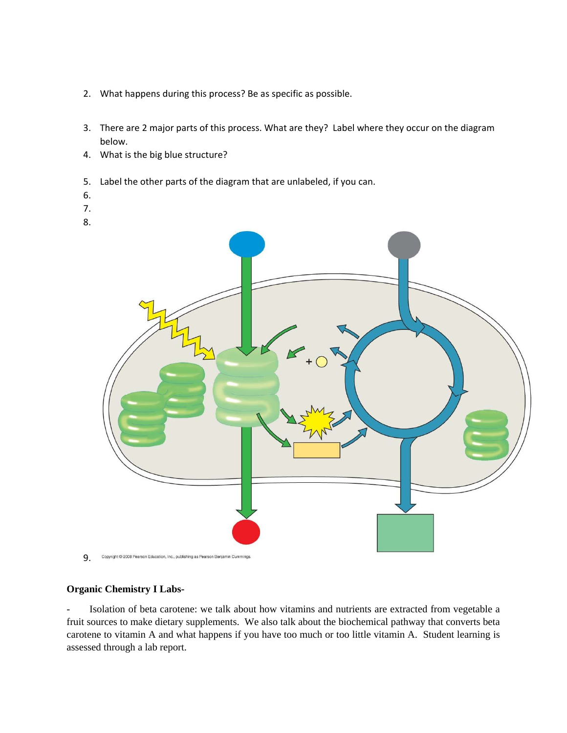- 2. What happens during this process? Be as specific as possible.
- 3. There are 2 major parts of this process. What are they? Label where they occur on the diagram below.
- 4. What is the big blue structure?
- 5. Label the other parts of the diagram that are unlabeled, if you can.
- 6.
- 7.
- 8.



9. Copyright @ 2008 Pearson Education, Inc., publishing as Pearson Benjamin Cummings.

#### **Organic Chemistry I Labs-**

Isolation of beta carotene: we talk about how vitamins and nutrients are extracted from vegetable a fruit sources to make dietary supplements. We also talk about the biochemical pathway that converts beta carotene to vitamin A and what happens if you have too much or too little vitamin A. Student learning is assessed through a lab report.